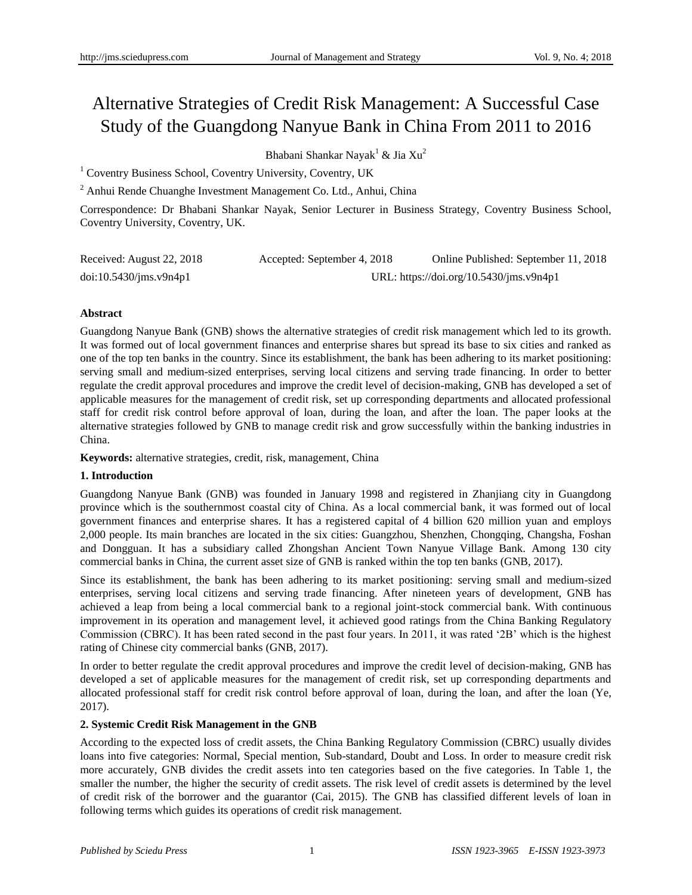# Alternative Strategies of Credit Risk Management: A Successful Case Study of the Guangdong Nanyue Bank in China From 2011 to 2016

Bhabani Shankar Navak<sup>1</sup> & Jia Xu<sup>2</sup>

<sup>1</sup> Coventry Business School, Coventry University, Coventry, UK

<sup>2</sup> Anhui Rende Chuanghe Investment Management Co. Ltd., Anhui, China

Correspondence: Dr Bhabani Shankar Nayak, Senior Lecturer in Business Strategy, Coventry Business School, Coventry University, Coventry, UK.

| Received: August 22, 2018 | Accepted: September 4, 2018 | Online Published: September 11, 2018    |
|---------------------------|-----------------------------|-----------------------------------------|
| doi:10.5430/ims.v9n4p1    |                             | URL: https://doi.org/10.5430/jms.v9n4p1 |

# **Abstract**

Guangdong Nanyue Bank (GNB) shows the alternative strategies of credit risk management which led to its growth. It was formed out of local government finances and enterprise shares but spread its base to six cities and ranked as one of the top ten banks in the country. Since its establishment, the bank has been adhering to its market positioning: serving small and medium-sized enterprises, serving local citizens and serving trade financing. In order to better regulate the credit approval procedures and improve the credit level of decision-making, GNB has developed a set of applicable measures for the management of credit risk, set up corresponding departments and allocated professional staff for credit risk control before approval of loan, during the loan, and after the loan. The paper looks at the alternative strategies followed by GNB to manage credit risk and grow successfully within the banking industries in China.

**Keywords:** alternative strategies, credit, risk, management, China

## **1. Introduction**

Guangdong Nanyue Bank (GNB) was founded in January 1998 and registered in Zhanjiang city in Guangdong province which is the southernmost coastal city of China. As a local commercial bank, it was formed out of local government finances and enterprise shares. It has a registered capital of 4 billion 620 million yuan and employs 2,000 people. Its main branches are located in the six cities: Guangzhou, Shenzhen, Chongqing, Changsha, Foshan and Dongguan. It has a subsidiary called Zhongshan Ancient Town Nanyue Village Bank. Among 130 city commercial banks in China, the current asset size of GNB is ranked within the top ten banks (GNB, 2017).

Since its establishment, the bank has been adhering to its market positioning: serving small and medium-sized enterprises, serving local citizens and serving trade financing. After nineteen years of development, GNB has achieved a leap from being a local commercial bank to a regional joint-stock commercial bank. With continuous improvement in its operation and management level, it achieved good ratings from the China Banking Regulatory Commission (CBRC). It has been rated second in the past four years. In 2011, it was rated '2B' which is the highest rating of Chinese city commercial banks (GNB, 2017).

In order to better regulate the credit approval procedures and improve the credit level of decision-making, GNB has developed a set of applicable measures for the management of credit risk, set up corresponding departments and allocated professional staff for credit risk control before approval of loan, during the loan, and after the loan (Ye, 2017).

## **2. Systemic Credit Risk Management in the GNB**

According to the expected loss of credit assets, the China Banking Regulatory Commission (CBRC) usually divides loans into five categories: Normal, Special mention, Sub-standard, Doubt and Loss. In order to measure credit risk more accurately, GNB divides the credit assets into ten categories based on the five categories. In Table 1, the smaller the number, the higher the security of credit assets. The risk level of credit assets is determined by the level of credit risk of the borrower and the guarantor (Cai, 2015). The GNB has classified different levels of loan in following terms which guides its operations of credit risk management.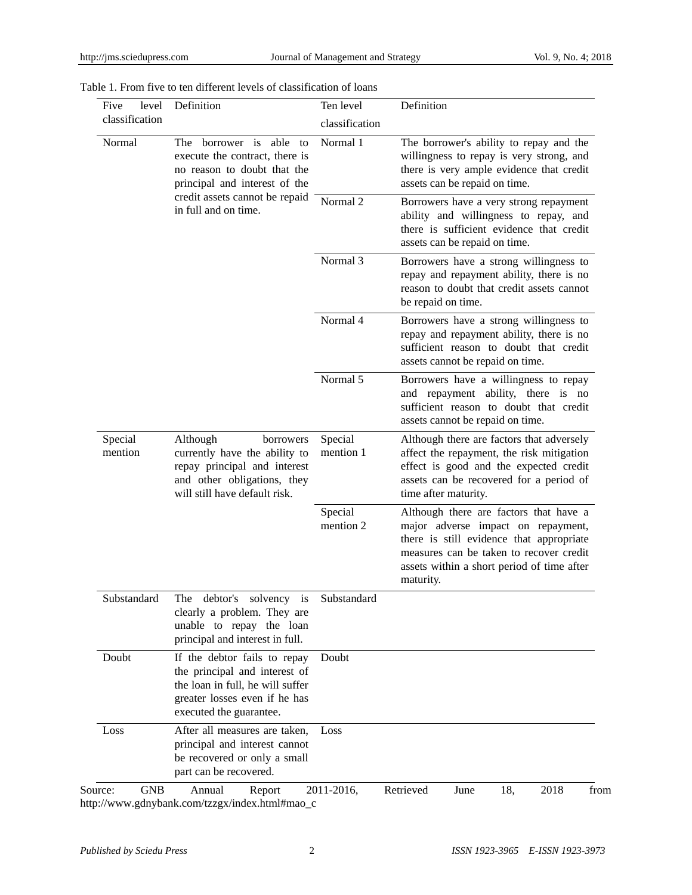|                                                                                                                                                                              |                                                                                                                                                               |                             | Definition                                                                                                                                                                                                                     |  |
|------------------------------------------------------------------------------------------------------------------------------------------------------------------------------|---------------------------------------------------------------------------------------------------------------------------------------------------------------|-----------------------------|--------------------------------------------------------------------------------------------------------------------------------------------------------------------------------------------------------------------------------|--|
| Five<br>level<br>classification                                                                                                                                              | Definition                                                                                                                                                    | Ten level<br>classification |                                                                                                                                                                                                                                |  |
| Normal                                                                                                                                                                       | The borrower is able to<br>execute the contract, there is<br>no reason to doubt that the<br>principal and interest of the                                     |                             | The borrower's ability to repay and the<br>willingness to repay is very strong, and<br>there is very ample evidence that credit<br>assets can be repaid on time.                                                               |  |
|                                                                                                                                                                              | credit assets cannot be repaid<br>in full and on time.                                                                                                        | Normal 2                    | Borrowers have a very strong repayment<br>ability and willingness to repay, and<br>there is sufficient evidence that credit<br>assets can be repaid on time.                                                                   |  |
|                                                                                                                                                                              |                                                                                                                                                               | Normal 3                    | Borrowers have a strong willingness to<br>repay and repayment ability, there is no<br>reason to doubt that credit assets cannot<br>be repaid on time.                                                                          |  |
|                                                                                                                                                                              |                                                                                                                                                               | Normal 4                    | Borrowers have a strong willingness to<br>repay and repayment ability, there is no<br>sufficient reason to doubt that credit<br>assets cannot be repaid on time.                                                               |  |
|                                                                                                                                                                              |                                                                                                                                                               | Normal 5                    | Borrowers have a willingness to repay<br>and repayment ability, there is no<br>sufficient reason to doubt that credit<br>assets cannot be repaid on time.                                                                      |  |
| Special<br>Although<br>borrowers<br>mention<br>currently have the ability to<br>repay principal and interest<br>and other obligations, they<br>will still have default risk. |                                                                                                                                                               | Special<br>mention 1        | Although there are factors that adversely<br>affect the repayment, the risk mitigation<br>effect is good and the expected credit<br>assets can be recovered for a period of<br>time after maturity.                            |  |
|                                                                                                                                                                              |                                                                                                                                                               | Special<br>mention 2        | Although there are factors that have a<br>major adverse impact on repayment,<br>there is still evidence that appropriate<br>measures can be taken to recover credit<br>assets within a short period of time after<br>maturity. |  |
| Substandard                                                                                                                                                                  | The debtor's solvency is<br>clearly a problem. They are<br>unable to repay the loan<br>principal and interest in full.                                        | Substandard                 |                                                                                                                                                                                                                                |  |
| Doubt                                                                                                                                                                        | If the debtor fails to repay<br>the principal and interest of<br>the loan in full, he will suffer<br>greater losses even if he has<br>executed the guarantee. | Doubt                       |                                                                                                                                                                                                                                |  |
| Loss                                                                                                                                                                         | After all measures are taken,<br>principal and interest cannot<br>be recovered or only a small<br>part can be recovered.                                      | Loss                        |                                                                                                                                                                                                                                |  |
| <b>GNB</b><br>Source:                                                                                                                                                        | Annual<br>Report                                                                                                                                              | 2011-2016,                  | 2018<br>Retrieved<br>18,<br>June<br>from                                                                                                                                                                                       |  |

Table 1. From five to ten different levels of classification of loans

http://www.gdnybank.com/tzzgx/index.html#mao\_c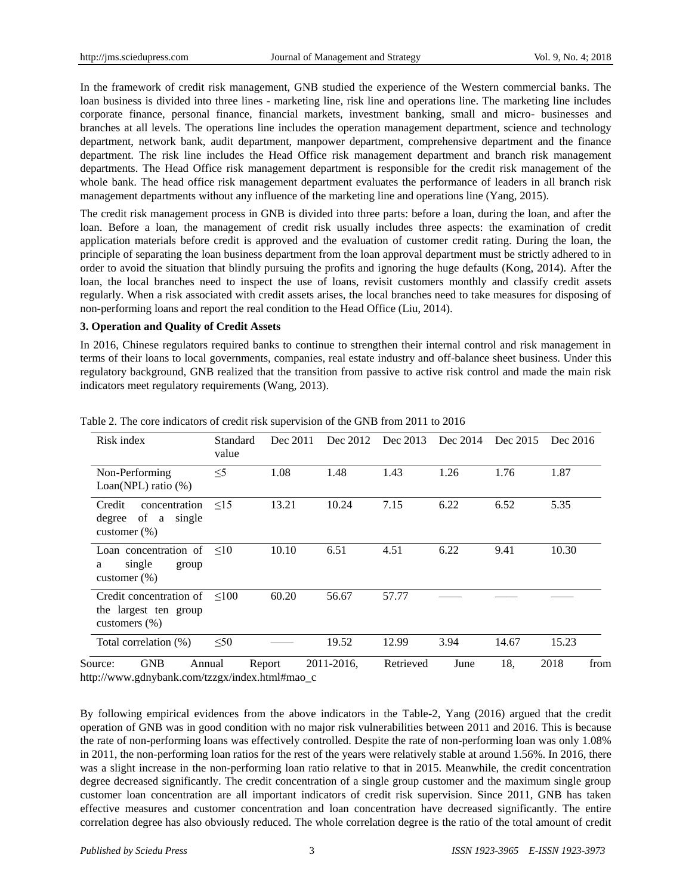In the framework of credit risk management, GNB studied the experience of the Western commercial banks. The loan business is divided into three lines - marketing line, risk line and operations line. The marketing line includes corporate finance, personal finance, financial markets, investment banking, small and micro- businesses and branches at all levels. The operations line includes the operation management department, science and technology department, network bank, audit department, manpower department, comprehensive department and the finance department. The risk line includes the Head Office risk management department and branch risk management departments. The Head Office risk management department is responsible for the credit risk management of the whole bank. The head office risk management department evaluates the performance of leaders in all branch risk management departments without any influence of the marketing line and operations line (Yang, 2015).

The credit risk management process in GNB is divided into three parts: before a loan, during the loan, and after the loan. Before a loan, the management of credit risk usually includes three aspects: the examination of credit application materials before credit is approved and the evaluation of customer credit rating. During the loan, the principle of separating the loan business department from the loan approval department must be strictly adhered to in order to avoid the situation that blindly pursuing the profits and ignoring the huge defaults (Kong, 2014). After the loan, the local branches need to inspect the use of loans, revisit customers monthly and classify credit assets regularly. When a risk associated with credit assets arises, the local branches need to take measures for disposing of non-performing loans and report the real condition to the Head Office (Liu, 2014).

### **3. Operation and Quality of Credit Assets**

In 2016, Chinese regulators required banks to continue to strengthen their internal control and risk management in terms of their loans to local governments, companies, real estate industry and off-balance sheet business. Under this regulatory background, GNB realized that the transition from passive to active risk control and made the main risk indicators meet regulatory requirements (Wang, 2013).

| Risk index                                                                       | Standard<br>value | Dec 2011 | Dec 2012   | Dec 2013  | Dec 2014 | Dec 2015 | Dec 2016 |      |
|----------------------------------------------------------------------------------|-------------------|----------|------------|-----------|----------|----------|----------|------|
| Non-Performing<br>$Loan(NPL)$ ratio $(\%)$                                       | $\leq$ 5          | 1.08     | 1.48       | 1.43      | 1.26     | 1.76     | 1.87     |      |
| Credit<br>concentration<br>of a single<br>degree<br>customer $(\%)$              | $\leq$ 15         | 13.21    | 10.24      | 7.15      | 6.22     | 6.52     | 5.35     |      |
| Loan concentration of $\leq 10$<br>single<br>a<br>group<br>customer $(\%)$       |                   | 10.10    | 6.51       | 4.51      | 6.22     | 9.41     | 10.30    |      |
| Credit concentration of $\leq 100$<br>the largest ten group<br>customers $(\% )$ |                   | 60.20    | 56.67      | 57.77     |          |          |          |      |
| Total correlation (%)                                                            | $\leq 50$         |          | 19.52      | 12.99     | 3.94     | 14.67    | 15.23    |      |
| Source:<br><b>GNB</b><br>Annual                                                  |                   | Report   | 2011-2016, | Retrieved | June     | 18,      | 2018     | from |

Table 2. The core indicators of credit risk supervision of the GNB from 2011 to 2016

http://www.gdnybank.com/tzzgx/index.html#mao\_c

By following empirical evidences from the above indicators in the Table-2, Yang (2016) argued that the credit operation of GNB was in good condition with no major risk vulnerabilities between 2011 and 2016. This is because the rate of non-performing loans was effectively controlled. Despite the rate of non-performing loan was only 1.08% in 2011, the non-performing loan ratios for the rest of the years were relatively stable at around 1.56%. In 2016, there was a slight increase in the non-performing loan ratio relative to that in 2015. Meanwhile, the credit concentration degree decreased significantly. The credit concentration of a single group customer and the maximum single group customer loan concentration are all important indicators of credit risk supervision. Since 2011, GNB has taken effective measures and customer concentration and loan concentration have decreased significantly. The entire correlation degree has also obviously reduced. The whole correlation degree is the ratio of the total amount of credit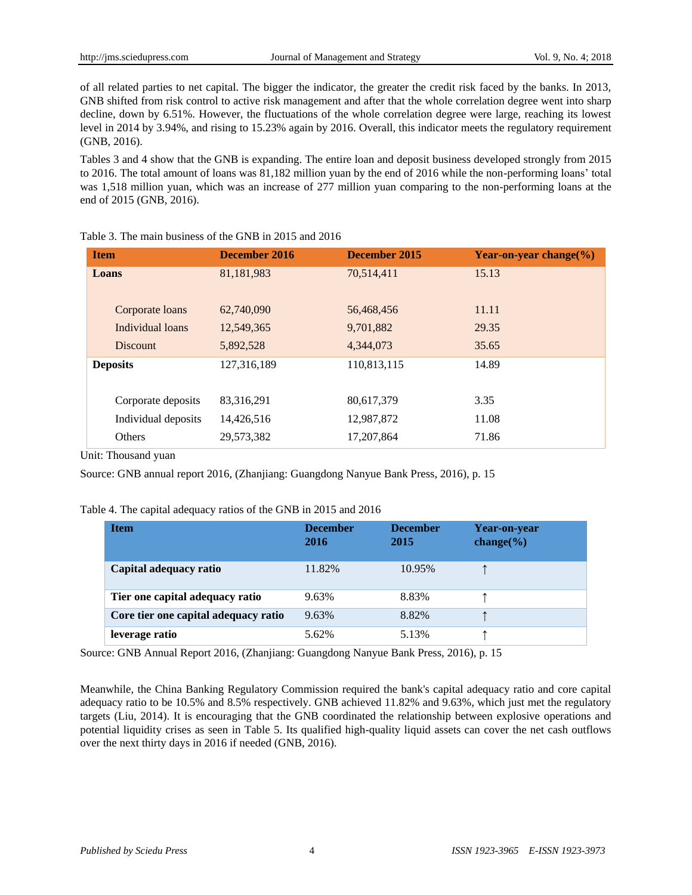of all related parties to net capital. The bigger the indicator, the greater the credit risk faced by the banks. In 2013, GNB shifted from risk control to active risk management and after that the whole correlation degree went into sharp decline, down by 6.51%. However, the fluctuations of the whole correlation degree were large, reaching its lowest level in 2014 by 3.94%, and rising to 15.23% again by 2016. Overall, this indicator meets the regulatory requirement (GNB, 2016).

Tables 3 and 4 show that the GNB is expanding. The entire loan and deposit business developed strongly from 2015 to 2016. The total amount of loans was 81,182 million yuan by the end of 2016 while the non-performing loans' total was 1,518 million yuan, which was an increase of 277 million yuan comparing to the non-performing loans at the end of 2015 (GNB, 2016).

| <b>Item</b>         | December 2016 | December 2015 | <b>Year-on-year change</b> $(\%)$ |
|---------------------|---------------|---------------|-----------------------------------|
| Loans               | 81,181,983    | 70,514,411    | 15.13                             |
|                     |               |               |                                   |
| Corporate loans     | 62,740,090    | 56,468,456    | 11.11                             |
| Individual loans    | 12,549,365    | 9,701,882     | 29.35                             |
| <b>Discount</b>     | 5,892,528     | 4,344,073     | 35.65                             |
| <b>Deposits</b>     | 127,316,189   | 110,813,115   | 14.89                             |
|                     |               |               |                                   |
| Corporate deposits  | 83,316,291    | 80,617,379    | 3.35                              |
| Individual deposits | 14,426,516    | 12,987,872    | 11.08                             |
| Others              | 29,573,382    | 17,207,864    | 71.86                             |

Table 3. The main business of the GNB in 2015 and 2016

Unit: Thousand yuan

Source: GNB annual report 2016, (Zhanjiang: Guangdong Nanyue Bank Press, 2016), p. 15

Table 4. The capital adequacy ratios of the GNB in 2015 and 2016

| <b>Item</b>                          | <b>December</b><br>2016 | <b>December</b><br>2015 | Year-on-year<br>change $(\% )$ |
|--------------------------------------|-------------------------|-------------------------|--------------------------------|
| Capital adequacy ratio               | 11.82%                  | 10.95%                  |                                |
| Tier one capital adequacy ratio      | 9.63%                   | 8.83%                   |                                |
| Core tier one capital adequacy ratio | 9.63%                   | 8.82%                   |                                |
| leverage ratio                       | 5.62%                   | 5.13%                   | ᠰ                              |

Source: GNB Annual Report 2016, (Zhanjiang: Guangdong Nanyue Bank Press, 2016), p. 15

Meanwhile, the China Banking Regulatory Commission required the bank's capital adequacy ratio and core capital adequacy ratio to be 10.5% and 8.5% respectively. GNB achieved 11.82% and 9.63%, which just met the regulatory targets (Liu, 2014). It is encouraging that the GNB coordinated the relationship between explosive operations and potential liquidity crises as seen in Table 5. Its qualified high-quality liquid assets can cover the net cash outflows over the next thirty days in 2016 if needed (GNB, 2016).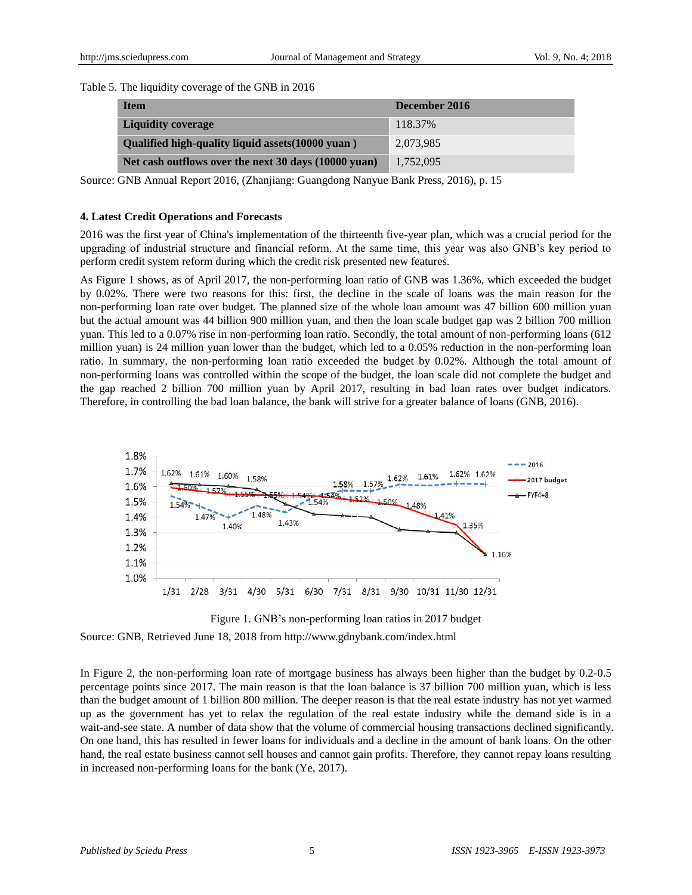#### Table 5. The liquidity coverage of the GNB in 2016

| <b>Item</b>                                          | December 2016 |
|------------------------------------------------------|---------------|
| Liquidity coverage                                   | 118.37%       |
| Qualified high-quality liquid assets (10000 yuan)    | 2,073,985     |
| Net cash outflows over the next 30 days (10000 yuan) | 1,752,095     |

Source: GNB Annual Report 2016, (Zhanjiang: Guangdong Nanyue Bank Press, 2016), p. 15

#### **4. Latest Credit Operations and Forecasts**

2016 was the first year of China's implementation of the thirteenth five-year plan, which was a crucial period for the upgrading of industrial structure and financial reform. At the same time, this year was also GNB's key period to perform credit system reform during which the credit risk presented new features.

As Figure 1 shows, as of April 2017, the non-performing loan ratio of GNB was 1.36%, which exceeded the budget by 0.02%. There were two reasons for this: first, the decline in the scale of loans was the main reason for the non-performing loan rate over budget. The planned size of the whole loan amount was 47 billion 600 million yuan but the actual amount was 44 billion 900 million yuan, and then the loan scale budget gap was 2 billion 700 million yuan. This led to a 0.07% rise in non-performing loan ratio. Secondly, the total amount of non-performing loans (612 million yuan) is 24 million yuan lower than the budget, which led to a 0.05% reduction in the non-performing loan ratio. In summary, the non-performing loan ratio exceeded the budget by 0.02%. Although the total amount of non-performing loans was controlled within the scope of the budget, the loan scale did not complete the budget and the gap reached 2 billion 700 million yuan by April 2017, resulting in bad loan rates over budget indicators. Therefore, in controlling the bad loan balance, the bank will strive for a greater balance of loans (GNB, 2016).





Source: GNB, Retrieved June 18, 2018 from http://www.gdnybank.com/index.html

In Figure 2, the non-performing loan rate of mortgage business has always been higher than the budget by 0.2-0.5 percentage points since 2017. The main reason is that the loan balance is 37 billion 700 million yuan, which is less than the budget amount of 1 billion 800 million. The deeper reason is that the real estate industry has not yet warmed up as the government has yet to relax the regulation of the real estate industry while the demand side is in a wait-and-see state. A number of data show that the volume of commercial housing transactions declined significantly. On one hand, this has resulted in fewer loans for individuals and a decline in the amount of bank loans. On the other hand, the real estate business cannot sell houses and cannot gain profits. Therefore, they cannot repay loans resulting in increased non-performing loans for the bank (Ye, 2017).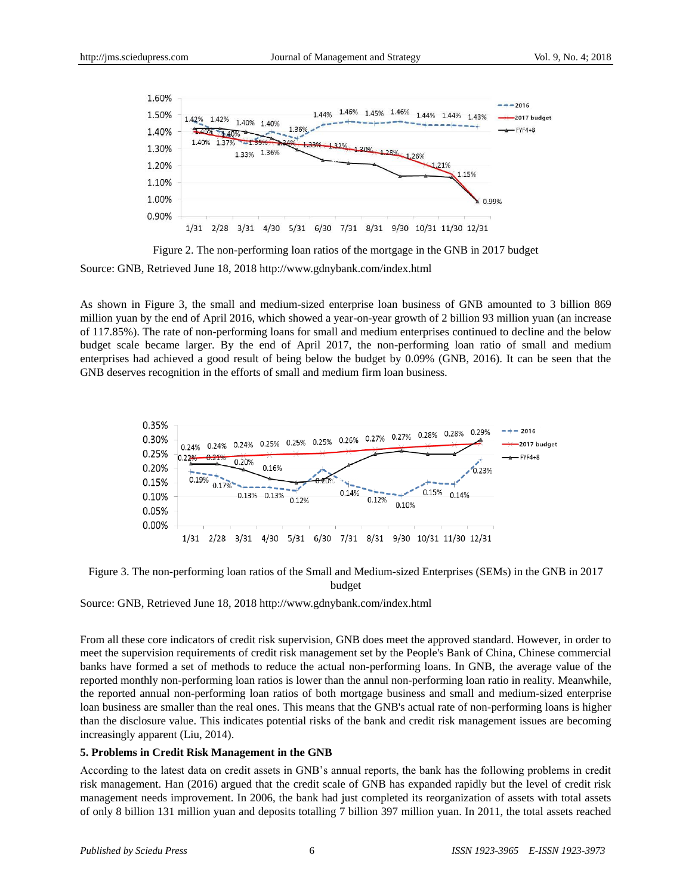



As shown in Figure 3, the small and medium-sized enterprise loan business of GNB amounted to 3 billion 869 million yuan by the end of April 2016, which showed a year-on-year growth of 2 billion 93 million yuan (an increase of 117.85%). The rate of non-performing loans for small and medium enterprises continued to decline and the below budget scale became larger. By the end of April 2017, the non-performing loan ratio of small and medium enterprises had achieved a good result of being below the budget by 0.09% (GNB, 2016). It can be seen that the GNB deserves recognition in the efforts of small and medium firm loan business.





Source: GNB, Retrieved June 18, 2018 http://www.gdnybank.com/index.html

From all these core indicators of credit risk supervision, GNB does meet the approved standard. However, in order to meet the supervision requirements of credit risk management set by the People's Bank of China, Chinese commercial banks have formed a set of methods to reduce the actual non-performing loans. In GNB, the average value of the reported monthly non-performing loan ratios is lower than the annul non-performing loan ratio in reality. Meanwhile, the reported annual non-performing loan ratios of both mortgage business and small and medium-sized enterprise loan business are smaller than the real ones. This means that the GNB's actual rate of non-performing loans is higher than the disclosure value. This indicates potential risks of the bank and credit risk management issues are becoming increasingly apparent (Liu, 2014).

## **5. Problems in Credit Risk Management in the GNB**

According to the latest data on credit assets in GNB's annual reports, the bank has the following problems in credit risk management. Han (2016) argued that the credit scale of GNB has expanded rapidly but the level of credit risk management needs improvement. In 2006, the bank had just completed its reorganization of assets with total assets of only 8 billion 131 million yuan and deposits totalling 7 billion 397 million yuan. In 2011, the total assets reached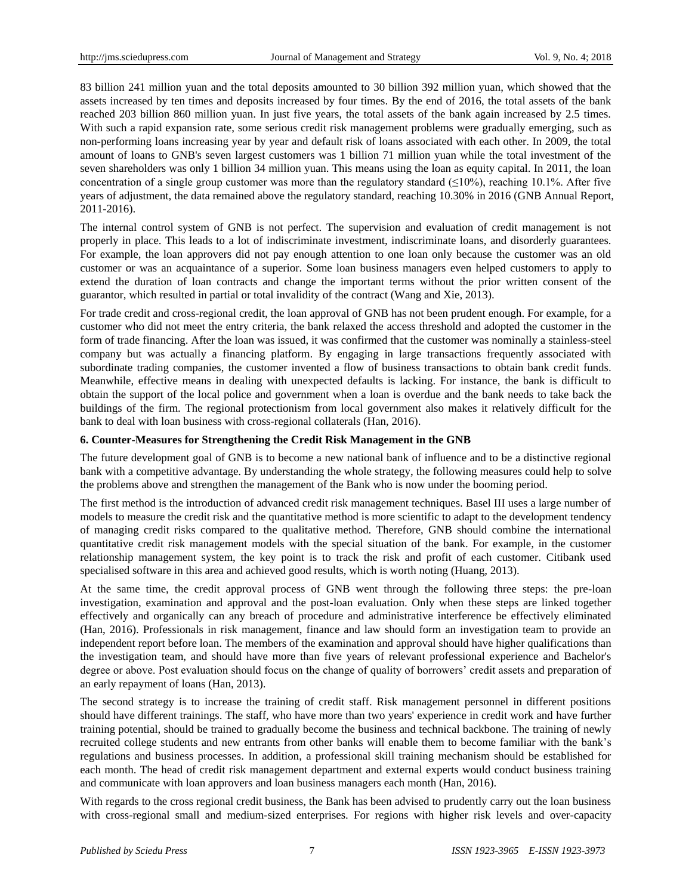83 billion 241 million yuan and the total deposits amounted to 30 billion 392 million yuan, which showed that the assets increased by ten times and deposits increased by four times. By the end of 2016, the total assets of the bank reached 203 billion 860 million yuan. In just five years, the total assets of the bank again increased by 2.5 times. With such a rapid expansion rate, some serious credit risk management problems were gradually emerging, such as non-performing loans increasing year by year and default risk of loans associated with each other. In 2009, the total amount of loans to GNB's seven largest customers was 1 billion 71 million yuan while the total investment of the seven shareholders was only 1 billion 34 million yuan. This means using the loan as equity capital. In 2011, the loan concentration of a single group customer was more than the regulatory standard ( $\leq 10\%$ ), reaching 10.1%. After five years of adjustment, the data remained above the regulatory standard, reaching 10.30% in 2016 (GNB Annual Report, 2011-2016).

The internal control system of GNB is not perfect. The supervision and evaluation of credit management is not properly in place. This leads to a lot of indiscriminate investment, indiscriminate loans, and disorderly guarantees. For example, the loan approvers did not pay enough attention to one loan only because the customer was an old customer or was an acquaintance of a superior. Some loan business managers even helped customers to apply to extend the duration of loan contracts and change the important terms without the prior written consent of the guarantor, which resulted in partial or total invalidity of the contract (Wang and Xie, 2013).

For trade credit and cross-regional credit, the loan approval of GNB has not been prudent enough. For example, for a customer who did not meet the entry criteria, the bank relaxed the access threshold and adopted the customer in the form of trade financing. After the loan was issued, it was confirmed that the customer was nominally a stainless-steel company but was actually a financing platform. By engaging in large transactions frequently associated with subordinate trading companies, the customer invented a flow of business transactions to obtain bank credit funds. Meanwhile, effective means in dealing with unexpected defaults is lacking. For instance, the bank is difficult to obtain the support of the local police and government when a loan is overdue and the bank needs to take back the buildings of the firm. The regional protectionism from local government also makes it relatively difficult for the bank to deal with loan business with cross-regional collaterals (Han, 2016).

## **6. Counter-Measures for Strengthening the Credit Risk Management in the GNB**

The future development goal of GNB is to become a new national bank of influence and to be a distinctive regional bank with a competitive advantage. By understanding the whole strategy, the following measures could help to solve the problems above and strengthen the management of the Bank who is now under the booming period.

The first method is the introduction of advanced credit risk management techniques. Basel III uses a large number of models to measure the credit risk and the quantitative method is more scientific to adapt to the development tendency of managing credit risks compared to the qualitative method. Therefore, GNB should combine the international quantitative credit risk management models with the special situation of the bank. For example, in the customer relationship management system, the key point is to track the risk and profit of each customer. Citibank used specialised software in this area and achieved good results, which is worth noting (Huang, 2013).

At the same time, the credit approval process of GNB went through the following three steps: the pre-loan investigation, examination and approval and the post-loan evaluation. Only when these steps are linked together effectively and organically can any breach of procedure and administrative interference be effectively eliminated (Han, 2016). Professionals in risk management, finance and law should form an investigation team to provide an independent report before loan. The members of the examination and approval should have higher qualifications than the investigation team, and should have more than five years of relevant professional experience and Bachelor's degree or above. Post evaluation should focus on the change of quality of borrowers' credit assets and preparation of an early repayment of loans (Han, 2013).

The second strategy is to increase the training of credit staff. Risk management personnel in different positions should have different trainings. The staff, who have more than two years' experience in credit work and have further training potential, should be trained to gradually become the business and technical backbone. The training of newly recruited college students and new entrants from other banks will enable them to become familiar with the bank's regulations and business processes. In addition, a professional skill training mechanism should be established for each month. The head of credit risk management department and external experts would conduct business training and communicate with loan approvers and loan business managers each month (Han, 2016).

With regards to the cross regional credit business, the Bank has been advised to prudently carry out the loan business with cross-regional small and medium-sized enterprises. For regions with higher risk levels and over-capacity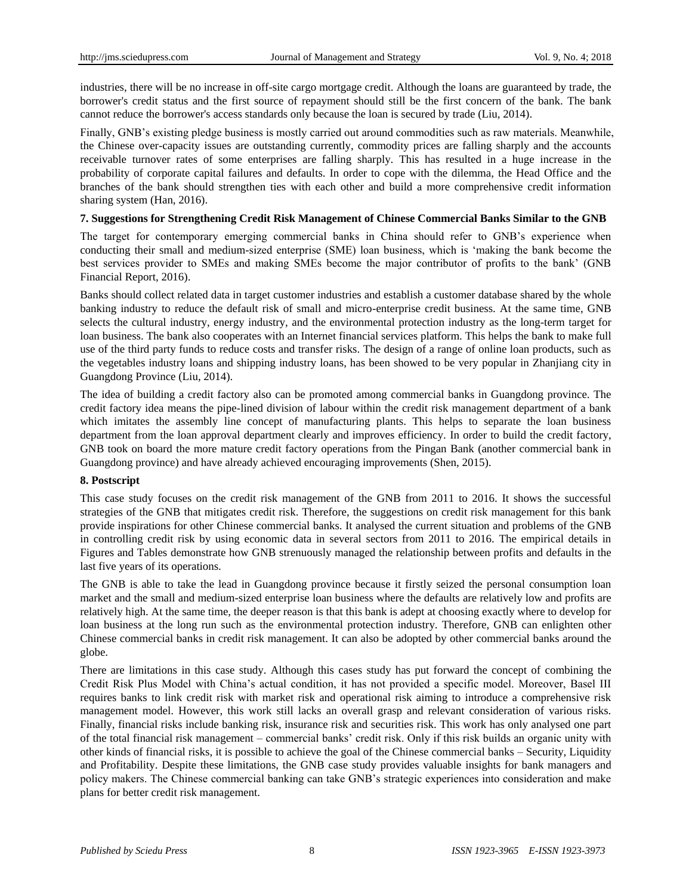industries, there will be no increase in off-site cargo mortgage credit. Although the loans are guaranteed by trade, the borrower's credit status and the first source of repayment should still be the first concern of the bank. The bank cannot reduce the borrower's access standards only because the loan is secured by trade (Liu, 2014).

Finally, GNB's existing pledge business is mostly carried out around commodities such as raw materials. Meanwhile, the Chinese over-capacity issues are outstanding currently, commodity prices are falling sharply and the accounts receivable turnover rates of some enterprises are falling sharply. This has resulted in a huge increase in the probability of corporate capital failures and defaults. In order to cope with the dilemma, the Head Office and the branches of the bank should strengthen ties with each other and build a more comprehensive credit information sharing system (Han, 2016).

## **7. Suggestions for Strengthening Credit Risk Management of Chinese Commercial Banks Similar to the GNB**

The target for contemporary emerging commercial banks in China should refer to GNB's experience when conducting their small and medium-sized enterprise (SME) loan business, which is 'making the bank become the best services provider to SMEs and making SMEs become the major contributor of profits to the bank' (GNB Financial Report, 2016).

Banks should collect related data in target customer industries and establish a customer database shared by the whole banking industry to reduce the default risk of small and micro-enterprise credit business. At the same time, GNB selects the cultural industry, energy industry, and the environmental protection industry as the long-term target for loan business. The bank also cooperates with an Internet financial services platform. This helps the bank to make full use of the third party funds to reduce costs and transfer risks. The design of a range of online loan products, such as the vegetables industry loans and shipping industry loans, has been showed to be very popular in Zhanjiang city in Guangdong Province (Liu, 2014).

The idea of building a credit factory also can be promoted among commercial banks in Guangdong province. The credit factory idea means the pipe-lined division of labour within the credit risk management department of a bank which imitates the assembly line concept of manufacturing plants. This helps to separate the loan business department from the loan approval department clearly and improves efficiency. In order to build the credit factory, GNB took on board the more mature credit factory operations from the Pingan Bank (another commercial bank in Guangdong province) and have already achieved encouraging improvements (Shen, 2015).

## **8. Postscript**

This case study focuses on the credit risk management of the GNB from 2011 to 2016. It shows the successful strategies of the GNB that mitigates credit risk. Therefore, the suggestions on credit risk management for this bank provide inspirations for other Chinese commercial banks. It analysed the current situation and problems of the GNB in controlling credit risk by using economic data in several sectors from 2011 to 2016. The empirical details in Figures and Tables demonstrate how GNB strenuously managed the relationship between profits and defaults in the last five years of its operations.

The GNB is able to take the lead in Guangdong province because it firstly seized the personal consumption loan market and the small and medium-sized enterprise loan business where the defaults are relatively low and profits are relatively high. At the same time, the deeper reason is that this bank is adept at choosing exactly where to develop for loan business at the long run such as the environmental protection industry. Therefore, GNB can enlighten other Chinese commercial banks in credit risk management. It can also be adopted by other commercial banks around the globe.

There are limitations in this case study. Although this cases study has put forward the concept of combining the Credit Risk Plus Model with China's actual condition, it has not provided a specific model. Moreover, Basel III requires banks to link credit risk with market risk and operational risk aiming to introduce a comprehensive risk management model. However, this work still lacks an overall grasp and relevant consideration of various risks. Finally, financial risks include banking risk, insurance risk and securities risk. This work has only analysed one part of the total financial risk management – commercial banks' credit risk. Only if this risk builds an organic unity with other kinds of financial risks, it is possible to achieve the goal of the Chinese commercial banks – Security, Liquidity and Profitability. Despite these limitations, the GNB case study provides valuable insights for bank managers and policy makers. The Chinese commercial banking can take GNB's strategic experiences into consideration and make plans for better credit risk management.